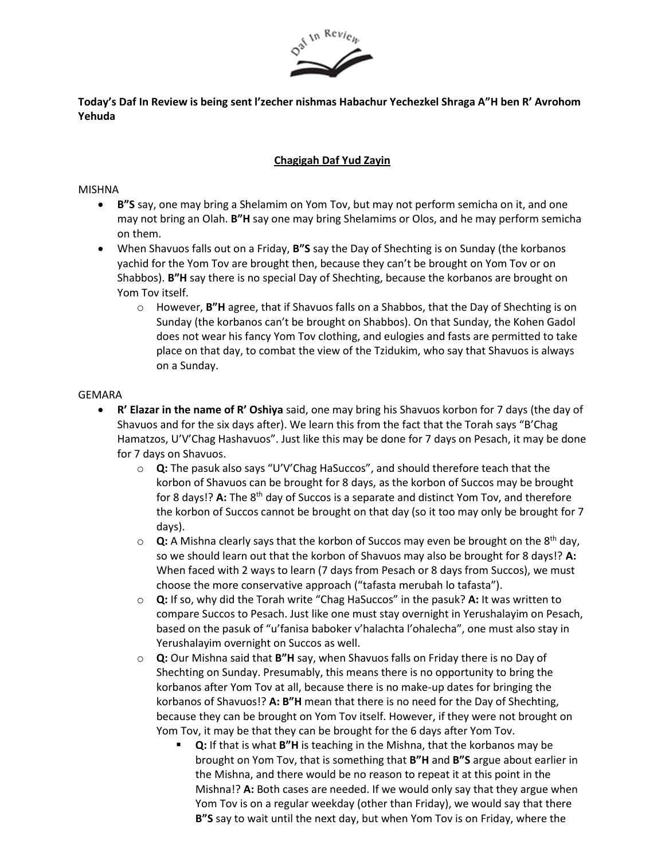

**Today's Daf In Review is being sent l'zecher nishmas Habachur Yechezkel Shraga A"H ben R' Avrohom Yehuda**

## **Chagigah Daf Yud Zayin**

## MISHNA

- **B"S** say, one may bring a Shelamim on Yom Tov, but may not perform semicha on it, and one may not bring an Olah. **B"H** say one may bring Shelamims or Olos, and he may perform semicha on them.
- When Shavuos falls out on a Friday, **B"S** say the Day of Shechting is on Sunday (the korbanos yachid for the Yom Tov are brought then, because they can't be brought on Yom Tov or on Shabbos). **B"H** say there is no special Day of Shechting, because the korbanos are brought on Yom Tov itself.
	- o However, **B"H** agree, that if Shavuos falls on a Shabbos, that the Day of Shechting is on Sunday (the korbanos can't be brought on Shabbos). On that Sunday, the Kohen Gadol does not wear his fancy Yom Tov clothing, and eulogies and fasts are permitted to take place on that day, to combat the view of the Tzidukim, who say that Shavuos is always on a Sunday.

## GEMARA

- **R' Elazar in the name of R' Oshiya** said, one may bring his Shavuos korbon for 7 days (the day of Shavuos and for the six days after). We learn this from the fact that the Torah says "B'Chag Hamatzos, U'V'Chag Hashavuos". Just like this may be done for 7 days on Pesach, it may be done for 7 days on Shavuos.
	- o **Q:** The pasuk also says "U'V'Chag HaSuccos", and should therefore teach that the korbon of Shavuos can be brought for 8 days, as the korbon of Succos may be brought for 8 days!? **A:** The 8th day of Succos is a separate and distinct Yom Tov, and therefore the korbon of Succos cannot be brought on that day (so it too may only be brought for 7 days).
	- o **Q:** A Mishna clearly says that the korbon of Succos may even be brought on the 8th day, so we should learn out that the korbon of Shavuos may also be brought for 8 days!? **A:** When faced with 2 ways to learn (7 days from Pesach or 8 days from Succos), we must choose the more conservative approach ("tafasta merubah lo tafasta").
	- o **Q:** If so, why did the Torah write "Chag HaSuccos" in the pasuk? **A:** It was written to compare Succos to Pesach. Just like one must stay overnight in Yerushalayim on Pesach, based on the pasuk of "u'fanisa baboker v'halachta l'ohalecha", one must also stay in Yerushalayim overnight on Succos as well.
	- o **Q:** Our Mishna said that **B"H** say, when Shavuos falls on Friday there is no Day of Shechting on Sunday. Presumably, this means there is no opportunity to bring the korbanos after Yom Tov at all, because there is no make-up dates for bringing the korbanos of Shavuos!? **A: B"H** mean that there is no need for the Day of Shechting, because they can be brought on Yom Tov itself. However, if they were not brought on Yom Tov, it may be that they can be brought for the 6 days after Yom Tov.
		- **Q:** If that is what **B"H** is teaching in the Mishna, that the korbanos may be brought on Yom Tov, that is something that **B"H** and **B"S** argue about earlier in the Mishna, and there would be no reason to repeat it at this point in the Mishna!? **A:** Both cases are needed. If we would only say that they argue when Yom Tov is on a regular weekday (other than Friday), we would say that there **B"S** say to wait until the next day, but when Yom Tov is on Friday, where the